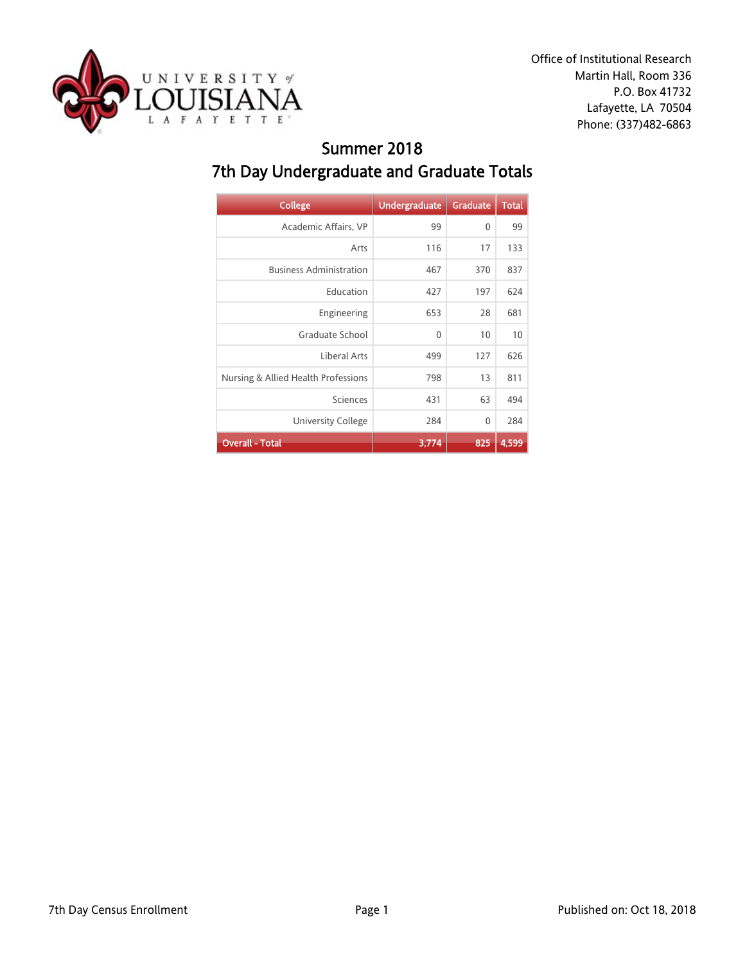

Office of Institutional Research Martin Hall, Room 336 P.O. Box 41732 Lafayette, LA 70504 Phone: (337)482-6863

### Summer 2018 7th Day Undergraduate and Graduate Totals

| <b>College</b>                      | <b>Undergraduate</b> | <b>Graduate</b> | <b>Total</b> |
|-------------------------------------|----------------------|-----------------|--------------|
| Academic Affairs, VP                | 99                   | $\mathbf{0}$    | 99           |
| Arts                                | 116                  | 17              | 133          |
| <b>Business Administration</b>      | 467                  | 370             | 837          |
| Education                           | 427                  | 197             | 624          |
| Engineering                         | 653                  | 28              | 681          |
| Graduate School                     | $\mathbf{0}$         | 10              | 10           |
| Liberal Arts                        | 499                  | 127             | 626          |
| Nursing & Allied Health Professions | 798                  | 13              | 811          |
| Sciences                            | 431                  | 63              | 494          |
| University College                  | 284                  | 0               | 284          |
| <b>Overall - Total</b>              | 3,774                | 825             | 4,599        |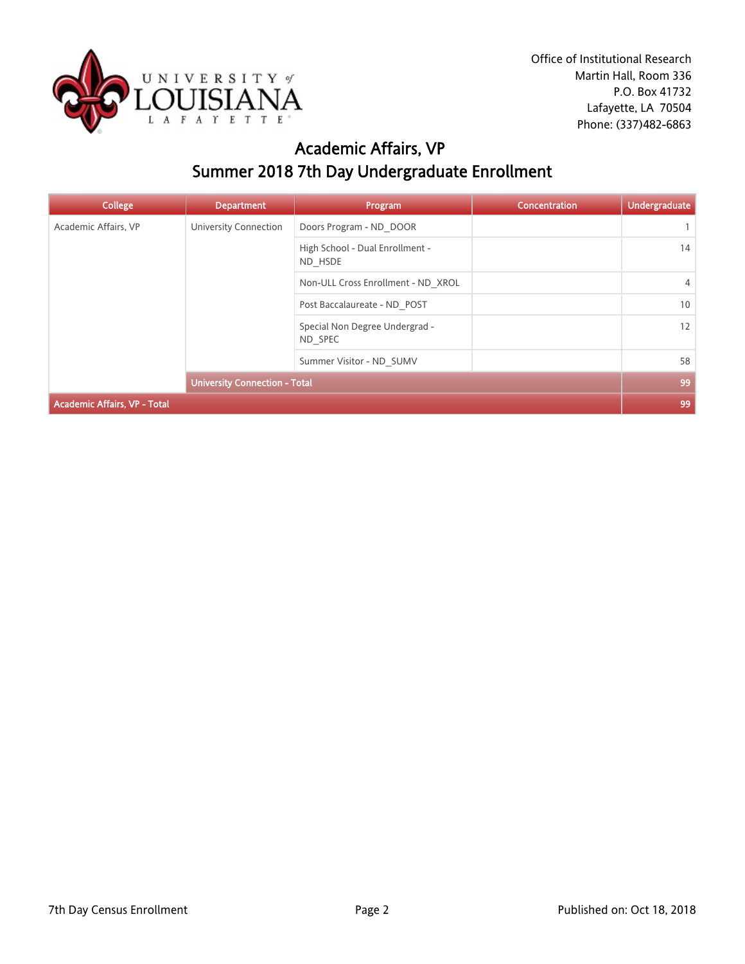

### Academic Affairs, VP Summer 2018 7th Day Undergraduate Enrollment

| <b>College</b>                      | <b>Department</b>                          | Program                            | <b>Concentration</b> | <b>Undergraduate</b> |
|-------------------------------------|--------------------------------------------|------------------------------------|----------------------|----------------------|
| Academic Affairs, VP                | University Connection                      | Doors Program - ND DOOR            |                      |                      |
|                                     | High School - Dual Enrollment -<br>ND HSDE |                                    | 14                   |                      |
|                                     |                                            | Non-ULL Cross Enrollment - ND XROL |                      | $\overline{4}$       |
|                                     |                                            | Post Baccalaureate - ND POST       |                      | 10                   |
|                                     | Special Non Degree Undergrad -<br>ND SPEC  |                                    | 12                   |                      |
|                                     | Summer Visitor - ND SUMV                   |                                    | 58                   |                      |
|                                     | <b>University Connection - Total</b>       |                                    |                      | 99                   |
| <b>Academic Affairs, VP - Total</b> |                                            |                                    |                      | 99                   |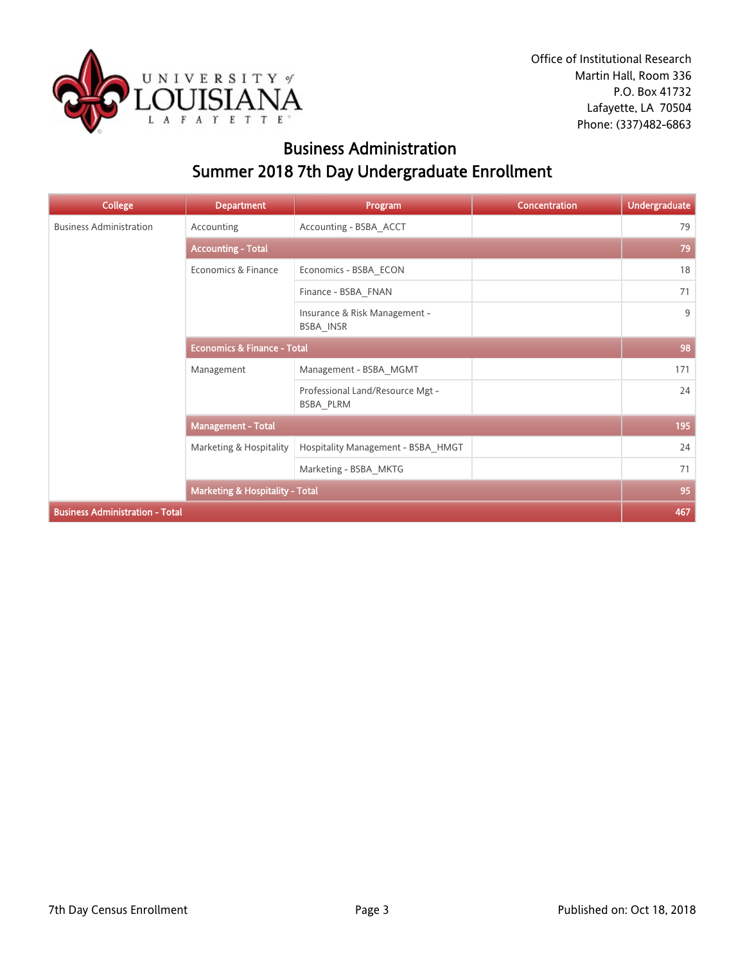

### Business Administration Summer 2018 7th Day Undergraduate Enrollment

| <b>College</b>                         | <b>Department</b>                          | Program                                       | <b>Concentration</b> | <b>Undergraduate</b> |
|----------------------------------------|--------------------------------------------|-----------------------------------------------|----------------------|----------------------|
| <b>Business Administration</b>         | Accounting                                 | Accounting - BSBA ACCT                        |                      | 79                   |
|                                        | <b>Accounting - Total</b>                  |                                               |                      | 79                   |
|                                        | Economics & Finance                        | Economics - BSBA ECON                         |                      | 18                   |
|                                        |                                            | Finance - BSBA FNAN                           |                      | 71                   |
|                                        |                                            | Insurance & Risk Management -<br>BSBA_INSR    |                      | 9                    |
|                                        | <b>Economics &amp; Finance - Total</b>     |                                               |                      | 98                   |
|                                        | Management                                 | Management - BSBA MGMT                        |                      | 171                  |
|                                        |                                            | Professional Land/Resource Mgt -<br>BSBA PLRM |                      | 24                   |
|                                        | <b>Management - Total</b>                  |                                               |                      | 195                  |
|                                        | Marketing & Hospitality                    | Hospitality Management - BSBA_HMGT            |                      | 24                   |
|                                        |                                            | Marketing - BSBA_MKTG                         |                      | 71                   |
|                                        | <b>Marketing &amp; Hospitality - Total</b> |                                               |                      | 95                   |
| <b>Business Administration - Total</b> |                                            |                                               |                      | 467                  |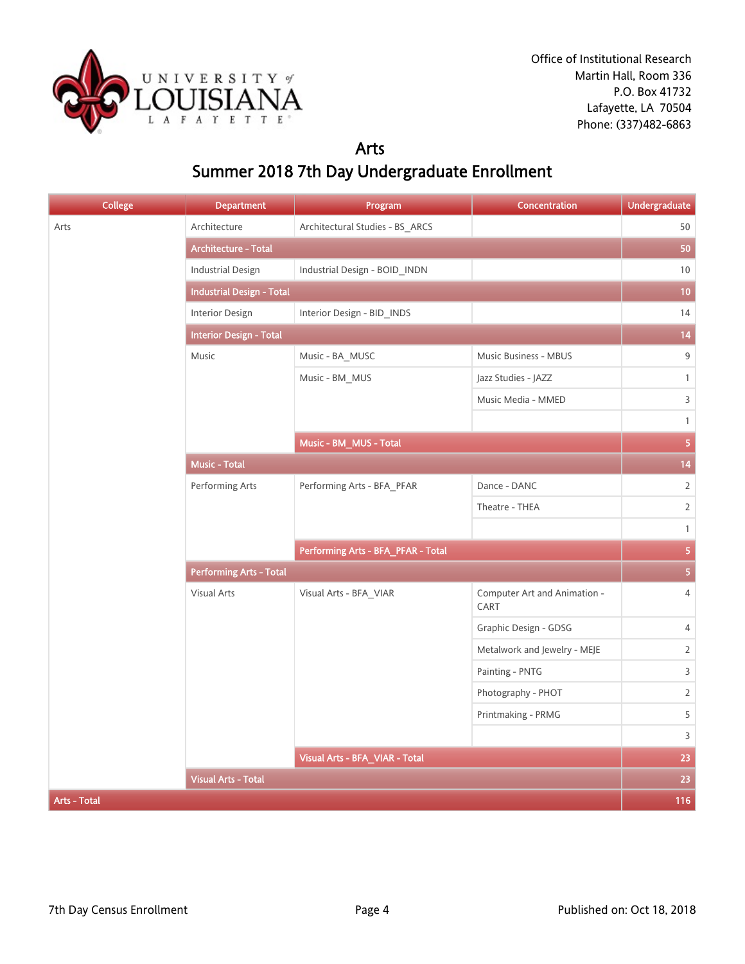

#### Arts

# Summer 2018 7th Day Undergraduate Enrollment

| <b>College</b>      | <b>Department</b>                | Program                            | Concentration                        | <b>Undergraduate</b> |
|---------------------|----------------------------------|------------------------------------|--------------------------------------|----------------------|
| Arts                | Architecture                     | Architectural Studies - BS_ARCS    |                                      | 50                   |
|                     | <b>Architecture - Total</b>      |                                    |                                      | 50                   |
|                     | <b>Industrial Design</b>         | Industrial Design - BOID_INDN      |                                      | 10                   |
|                     | <b>Industrial Design - Total</b> |                                    |                                      | 10                   |
|                     | Interior Design                  | Interior Design - BID_INDS         |                                      | 14                   |
|                     | <b>Interior Design - Total</b>   |                                    |                                      |                      |
|                     | Music                            | Music - BA_MUSC                    | Music Business - MBUS                | 9                    |
|                     |                                  | Music - BM_MUS                     | Jazz Studies - JAZZ                  | $\mathbf{1}$         |
|                     |                                  |                                    | Music Media - MMED                   | 3                    |
|                     |                                  |                                    |                                      | $\mathbf{1}$         |
|                     |                                  | Music - BM_MUS - Total             |                                      | $\overline{5}$       |
|                     | <b>Music - Total</b>             |                                    |                                      | 14                   |
|                     | Performing Arts                  | Performing Arts - BFA_PFAR         | Dance - DANC                         | $\overline{2}$       |
|                     |                                  |                                    | Theatre - THEA                       | $\overline{2}$       |
|                     |                                  |                                    |                                      | $\mathbf{1}$         |
|                     |                                  | Performing Arts - BFA_PFAR - Total |                                      | 5 <sub>5</sub>       |
|                     | <b>Performing Arts - Total</b>   |                                    |                                      |                      |
|                     | Visual Arts                      | Visual Arts - BFA_VIAR             | Computer Art and Animation -<br>CART | $\overline{4}$       |
|                     |                                  |                                    | Graphic Design - GDSG                | 4                    |
|                     |                                  |                                    | Metalwork and Jewelry - MEJE         | $\overline{2}$       |
|                     |                                  |                                    | Painting - PNTG                      | 3                    |
|                     |                                  |                                    | Photography - PHOT                   | $\overline{2}$       |
|                     |                                  |                                    | Printmaking - PRMG                   | 5                    |
|                     |                                  |                                    |                                      | 3                    |
|                     |                                  | Visual Arts - BFA_VIAR - Total     |                                      | 23                   |
|                     | <b>Visual Arts - Total</b>       |                                    |                                      | 23                   |
| <b>Arts - Total</b> |                                  |                                    |                                      | 116                  |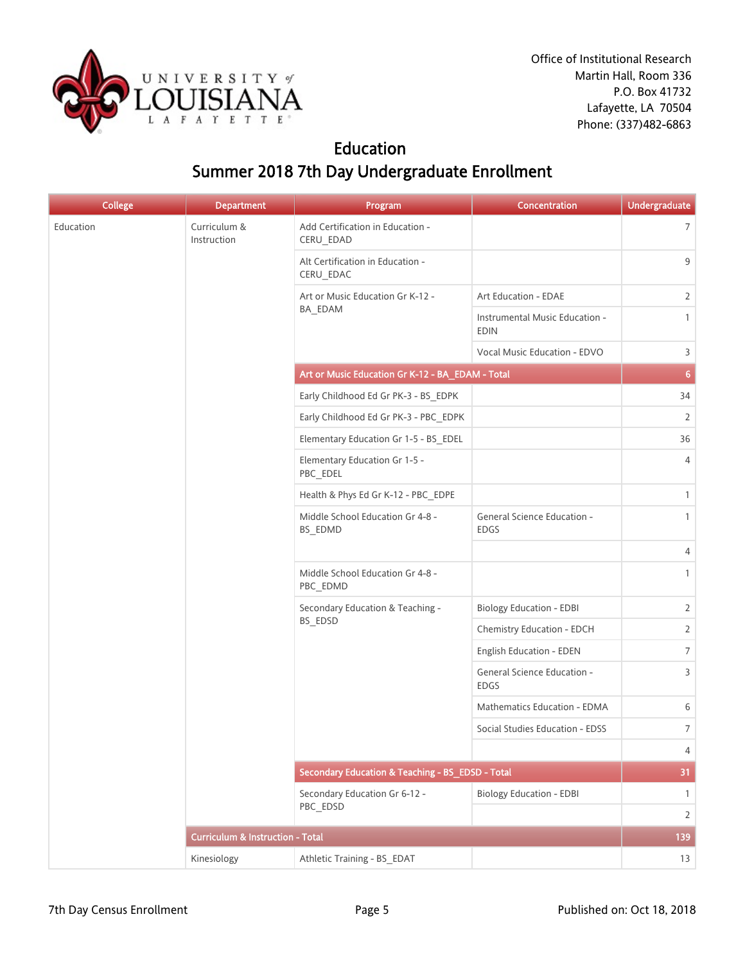

### Education Summer 2018 7th Day Undergraduate Enrollment

| <b>College</b> | <b>Department</b>                           | Program                                          | Concentration                                 | <b>Undergraduate</b> |
|----------------|---------------------------------------------|--------------------------------------------------|-----------------------------------------------|----------------------|
| Education      | Curriculum &<br>Instruction                 | Add Certification in Education -<br>CERU_EDAD    |                                               | $\overline{7}$       |
|                |                                             | Alt Certification in Education -<br>CERU_EDAC    |                                               | 9                    |
|                |                                             | Art or Music Education Gr K-12 -                 | Art Education - EDAE                          | $\overline{2}$       |
|                |                                             | BA_EDAM                                          | Instrumental Music Education -<br><b>EDIN</b> | $\mathbf{1}$         |
|                |                                             |                                                  | Vocal Music Education - EDVO                  | 3                    |
|                |                                             | Art or Music Education Gr K-12 - BA_EDAM - Total |                                               | 6 <sub>1</sub>       |
|                |                                             | Early Childhood Ed Gr PK-3 - BS_EDPK             |                                               | 34                   |
|                |                                             | Early Childhood Ed Gr PK-3 - PBC_EDPK            |                                               | $\overline{2}$       |
|                |                                             | Elementary Education Gr 1-5 - BS_EDEL            |                                               | 36                   |
|                |                                             | Elementary Education Gr 1-5 -<br>PBC_EDEL        |                                               | 4                    |
|                |                                             | Health & Phys Ed Gr K-12 - PBC_EDPE              |                                               | $\mathbf{1}$         |
|                |                                             | Middle School Education Gr 4-8 -<br>BS_EDMD      | General Science Education -<br><b>EDGS</b>    | $\mathbf{1}$         |
|                |                                             |                                                  |                                               | 4                    |
|                |                                             | Middle School Education Gr 4-8 -<br>PBC_EDMD     |                                               | $\mathbf{1}$         |
|                |                                             | Secondary Education & Teaching -                 | <b>Biology Education - EDBI</b>               | $\overline{2}$       |
|                |                                             | BS_EDSD                                          | Chemistry Education - EDCH                    | $\overline{2}$       |
|                |                                             |                                                  | English Education - EDEN                      | $\overline{7}$       |
|                |                                             |                                                  | General Science Education -<br><b>EDGS</b>    | 3                    |
|                |                                             |                                                  | Mathematics Education - EDMA                  | 6                    |
|                |                                             |                                                  | Social Studies Education - EDSS               | $\overline{7}$       |
|                |                                             |                                                  |                                               | $\overline{4}$       |
|                |                                             | Secondary Education & Teaching - BS EDSD - Total |                                               | 31                   |
|                |                                             | Secondary Education Gr 6-12 -<br>PBC_EDSD        | <b>Biology Education - EDBI</b>               | $\mathbf{1}$         |
|                |                                             |                                                  |                                               | $\overline{2}$       |
|                | <b>Curriculum &amp; Instruction - Total</b> |                                                  |                                               | 139                  |
|                | Kinesiology                                 | Athletic Training - BS_EDAT                      |                                               | 13                   |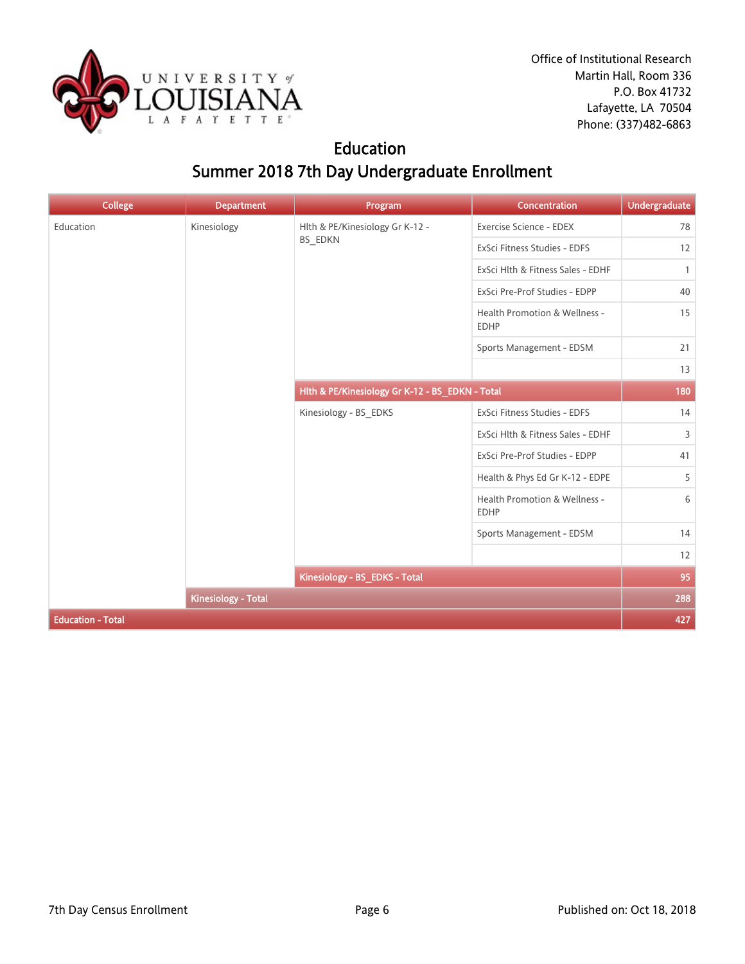

Office of Institutional Research Martin Hall, Room 336 P.O. Box 41732 Lafayette, LA 70504 Phone: (337)482-6863

### Education Summer 2018 7th Day Undergraduate Enrollment

| <b>College</b>           | <b>Department</b>          | Program                                         | Concentration                                | <b>Undergraduate</b> |
|--------------------------|----------------------------|-------------------------------------------------|----------------------------------------------|----------------------|
| Education                | Kinesiology                | Hlth & PE/Kinesiology Gr K-12 -                 | Exercise Science - EDEX                      | 78                   |
|                          |                            | <b>BS_EDKN</b>                                  | ExSci Fitness Studies - EDFS                 | 12                   |
|                          |                            |                                                 | ExSci Hlth & Fitness Sales - EDHF            | $\mathbf{1}$         |
|                          |                            |                                                 | ExSci Pre-Prof Studies - EDPP                | 40                   |
|                          |                            |                                                 | Health Promotion & Wellness -<br><b>EDHP</b> | 15                   |
|                          |                            |                                                 | Sports Management - EDSM                     | 21                   |
|                          |                            |                                                 |                                              | 13                   |
|                          |                            | Hlth & PE/Kinesiology Gr K-12 - BS_EDKN - Total |                                              | 180                  |
|                          |                            | Kinesiology - BS_EDKS                           | ExSci Fitness Studies - EDFS                 | 14                   |
|                          |                            |                                                 | ExSci Hlth & Fitness Sales - EDHF            | 3                    |
|                          |                            |                                                 | ExSci Pre-Prof Studies - EDPP                | 41                   |
|                          |                            |                                                 | Health & Phys Ed Gr K-12 - EDPE              | 5                    |
|                          |                            |                                                 | Health Promotion & Wellness -<br><b>EDHP</b> | 6                    |
|                          |                            |                                                 | Sports Management - EDSM                     | 14                   |
|                          |                            |                                                 |                                              | 12                   |
|                          |                            | Kinesiology - BS_EDKS - Total                   |                                              | 95                   |
|                          | <b>Kinesiology - Total</b> |                                                 |                                              | 288                  |
| <b>Education - Total</b> |                            |                                                 |                                              | 427                  |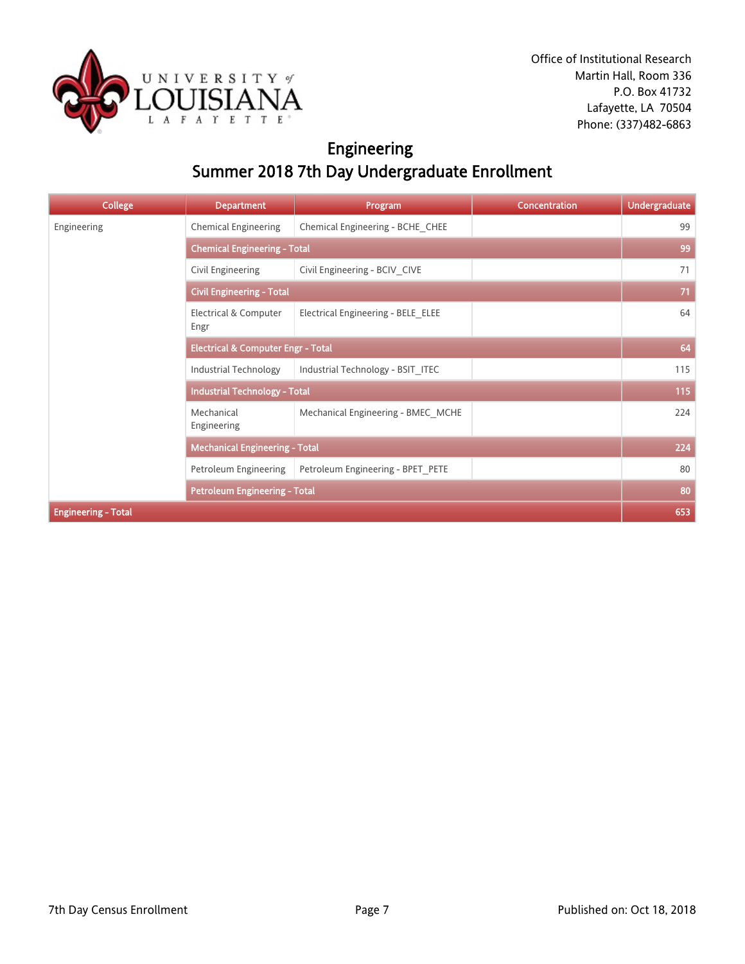

# Engineering Summer 2018 7th Day Undergraduate Enrollment

| <b>College</b>             | <b>Department</b>                             | Program                            | <b>Concentration</b> | <b>Undergraduate</b> |
|----------------------------|-----------------------------------------------|------------------------------------|----------------------|----------------------|
| Engineering                | <b>Chemical Engineering</b>                   | Chemical Engineering - BCHE_CHEE   |                      | 99                   |
|                            | <b>Chemical Engineering - Total</b>           |                                    |                      | 99                   |
|                            | Civil Engineering                             | Civil Engineering - BCIV CIVE      |                      | 71                   |
|                            | <b>Civil Engineering - Total</b>              |                                    |                      | 71                   |
|                            | Electrical & Computer<br>Engr                 | Electrical Engineering - BELE ELEE |                      | 64                   |
|                            | <b>Electrical &amp; Computer Engr - Total</b> |                                    |                      | 64                   |
|                            | <b>Industrial Technology</b>                  | Industrial Technology - BSIT ITEC  |                      | 115                  |
|                            | <b>Industrial Technology - Total</b>          |                                    |                      | 115                  |
|                            | Mechanical<br>Engineering                     | Mechanical Engineering - BMEC_MCHE |                      | 224                  |
|                            | <b>Mechanical Engineering - Total</b>         |                                    |                      | 224                  |
|                            | Petroleum Engineering                         | Petroleum Engineering - BPET PETE  |                      | 80                   |
|                            | <b>Petroleum Engineering - Total</b>          |                                    |                      | 80                   |
| <b>Engineering - Total</b> |                                               |                                    |                      | 653                  |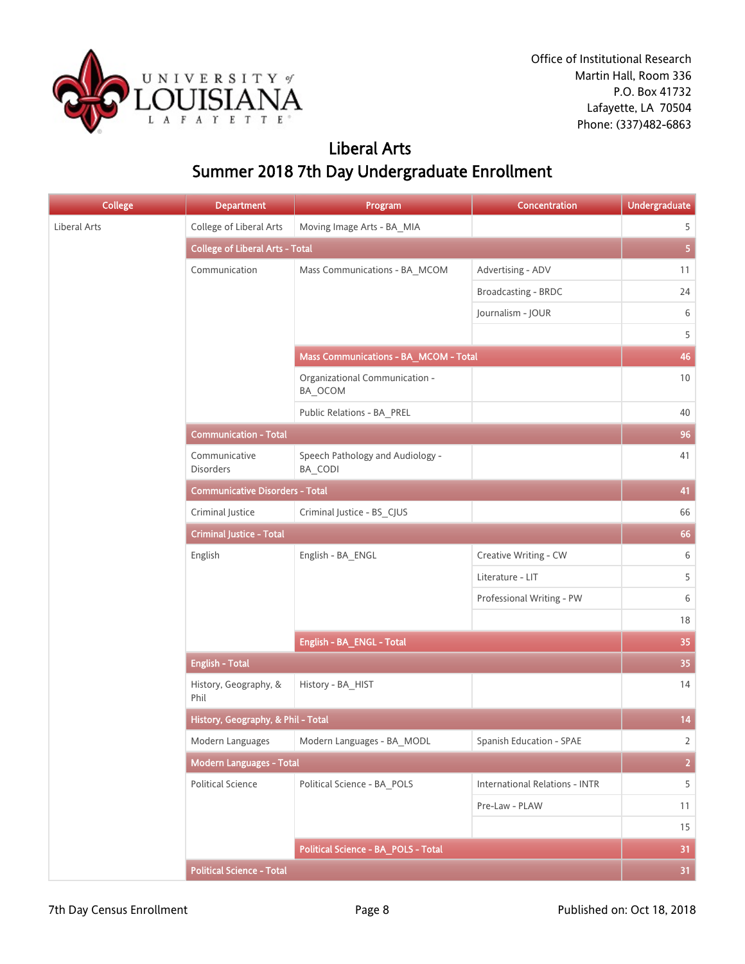

### Liberal Arts Summer 2018 7th Day Undergraduate Enrollment

| <b>College</b> | <b>Department</b>                      | Program                                     | Concentration                         | <b>Undergraduate</b> |
|----------------|----------------------------------------|---------------------------------------------|---------------------------------------|----------------------|
| Liberal Arts   | College of Liberal Arts                | Moving Image Arts - BA_MIA                  |                                       | 5                    |
|                | <b>College of Liberal Arts - Total</b> |                                             |                                       | 5 <sub>1</sub>       |
|                | Communication                          | Mass Communications - BA_MCOM               | Advertising - ADV                     | 11                   |
|                |                                        |                                             | Broadcasting - BRDC                   | 24                   |
|                |                                        |                                             | Journalism - JOUR                     | 6                    |
|                |                                        |                                             |                                       | 5                    |
|                |                                        | Mass Communications - BA_MCOM - Total       |                                       | 46                   |
|                |                                        | Organizational Communication -<br>BA_OCOM   |                                       | 10                   |
|                |                                        | Public Relations - BA_PREL                  |                                       | 40                   |
|                | <b>Communication - Total</b>           |                                             |                                       | 96                   |
|                | Communicative<br>Disorders             | Speech Pathology and Audiology -<br>BA_CODI |                                       | 41                   |
|                | <b>Communicative Disorders - Total</b> |                                             |                                       | 41                   |
|                | Criminal Justice                       | Criminal Justice - BS_CJUS                  |                                       | 66                   |
|                | <b>Criminal Justice - Total</b>        |                                             |                                       |                      |
|                | English                                | English - BA_ENGL                           | Creative Writing - CW                 | 6                    |
|                |                                        |                                             | Literature - LIT                      | 5                    |
|                |                                        |                                             | Professional Writing - PW             | 6                    |
|                |                                        |                                             |                                       | 18                   |
|                |                                        | English - BA_ENGL - Total                   |                                       | 35                   |
|                | <b>English - Total</b>                 |                                             |                                       | 35                   |
|                | History, Geography, &<br>Phil          | History - BA_HIST                           |                                       | 14                   |
|                | History, Geography, & Phil - Total     |                                             |                                       | 14                   |
|                | Modern Languages                       | Modern Languages - BA_MODL                  | Spanish Education - SPAE              | $\overline{2}$       |
|                | Modern Languages - Total               |                                             |                                       | $\overline{2}$       |
|                | <b>Political Science</b>               | Political Science - BA POLS                 | <b>International Relations - INTR</b> | 5                    |
|                |                                        |                                             | Pre-Law - PLAW                        | 11                   |
|                |                                        |                                             |                                       | 15                   |
|                |                                        | Political Science - BA_POLS - Total         |                                       | 31                   |
|                | <b>Political Science - Total</b>       |                                             |                                       | 31 <sup>°</sup>      |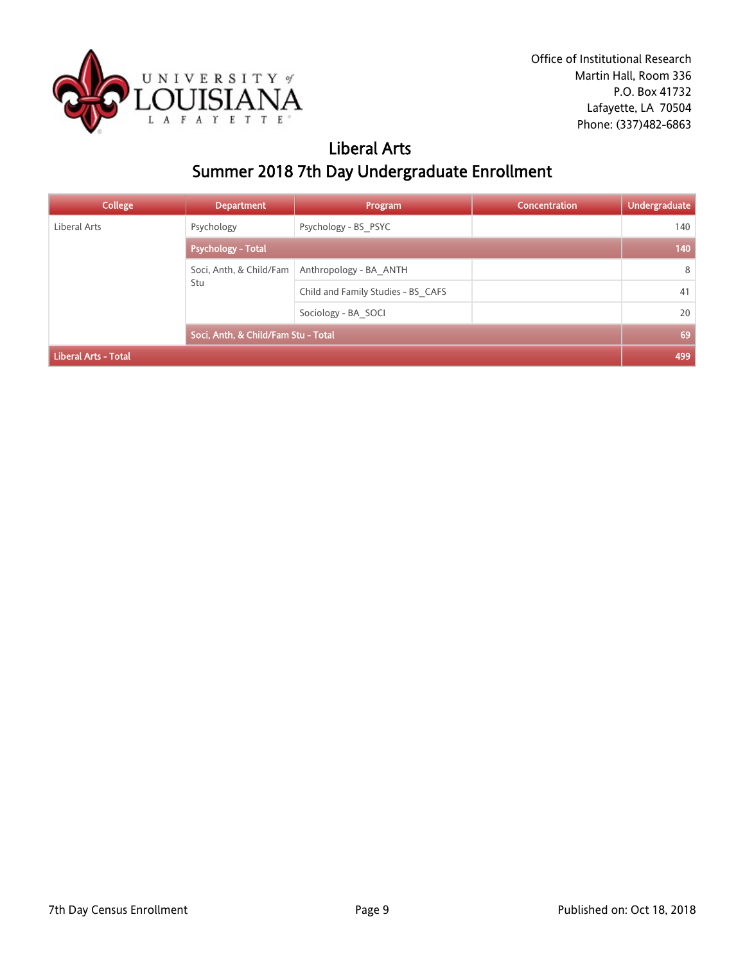

# Liberal Arts Summer 2018 7th Day Undergraduate Enrollment

| <b>College</b>              | <b>Department</b>                   | Program                            | Concentration | <b>Undergraduate</b> |
|-----------------------------|-------------------------------------|------------------------------------|---------------|----------------------|
| Liberal Arts                | Psychology                          | Psychology - BS PSYC               |               | 140                  |
|                             | <b>Psychology - Total</b>           |                                    |               | 140                  |
|                             | Soci, Anth, & Child/Fam             | Anthropology - BA ANTH             |               | 8                    |
|                             | Stu                                 | Child and Family Studies - BS CAFS |               | 41                   |
|                             |                                     | Sociology - BA SOCI                |               | 20                   |
|                             | Soci, Anth, & Child/Fam Stu - Total |                                    |               | 69                   |
| <b>Liberal Arts - Total</b> |                                     |                                    |               | 499                  |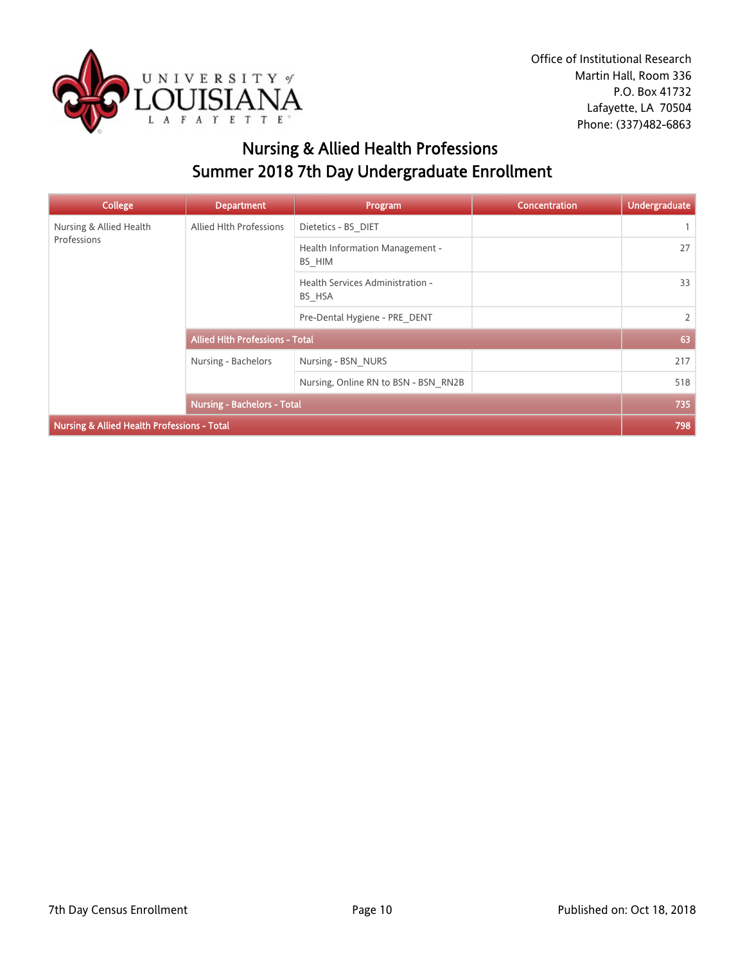

# Nursing & Allied Health Professions Summer 2018 7th Day Undergraduate Enrollment

| <b>College</b>                              | <b>Department</b>                      | Program                                    | <b>Concentration</b> | <b>Undergraduate</b> |
|---------------------------------------------|----------------------------------------|--------------------------------------------|----------------------|----------------------|
| Nursing & Allied Health                     | Allied Hlth Professions                | Dietetics - BS DIET                        |                      |                      |
| Professions                                 |                                        | Health Information Management -<br>BS_HIM  |                      | 27                   |
|                                             |                                        | Health Services Administration -<br>BS HSA |                      | 33                   |
|                                             |                                        | Pre-Dental Hygiene - PRE DENT              |                      | $\overline{2}$       |
|                                             | <b>Allied Hith Professions - Total</b> |                                            |                      | 63                   |
|                                             | Nursing - Bachelors                    | Nursing - BSN NURS                         |                      | 217                  |
|                                             |                                        | Nursing, Online RN to BSN - BSN RN2B       |                      | 518                  |
|                                             | <b>Nursing - Bachelors - Total</b>     |                                            |                      | 735                  |
| Nursing & Allied Health Professions - Total |                                        |                                            |                      | 798                  |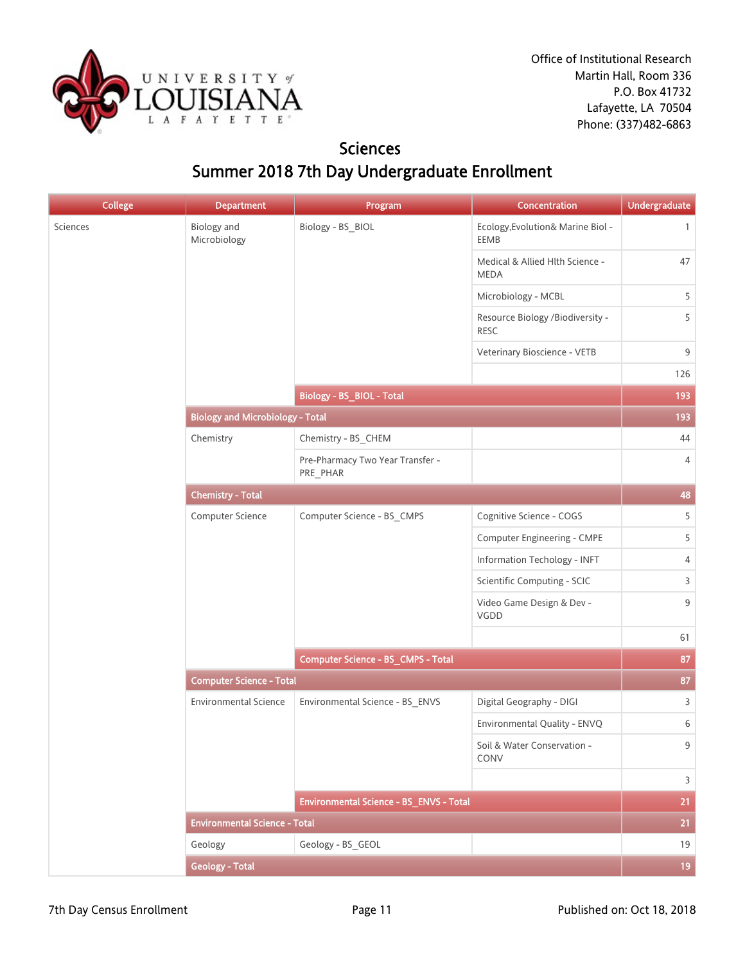

### **Sciences** Summer 2018 7th Day Undergraduate Enrollment

| <b>College</b> | <b>Department</b>                       | Program                                      | Concentration                                   | <b>Undergraduate</b> |
|----------------|-----------------------------------------|----------------------------------------------|-------------------------------------------------|----------------------|
| Sciences       | <b>Biology</b> and<br>Microbiology      | Biology - BS_BIOL                            | Ecology, Evolution& Marine Biol -<br>EEMB       | $\mathbf{1}$         |
|                |                                         |                                              | Medical & Allied Hlth Science -<br><b>MEDA</b>  | 47                   |
|                |                                         |                                              | Microbiology - MCBL                             | 5                    |
|                |                                         |                                              | Resource Biology /Biodiversity -<br><b>RESC</b> | 5                    |
|                |                                         |                                              | Veterinary Bioscience - VETB                    | 9                    |
|                |                                         |                                              |                                                 | 126                  |
|                |                                         | <b>Biology - BS_BIOL - Total</b>             |                                                 | 193                  |
|                | <b>Biology and Microbiology - Total</b> |                                              |                                                 | 193                  |
|                | Chemistry                               | Chemistry - BS_CHEM                          |                                                 | 44                   |
|                |                                         | Pre-Pharmacy Two Year Transfer -<br>PRE_PHAR |                                                 | 4                    |
|                | <b>Chemistry - Total</b>                |                                              |                                                 | 48                   |
|                | Computer Science                        | Computer Science - BS_CMPS                   | Cognitive Science - COGS                        | 5                    |
|                |                                         |                                              | <b>Computer Engineering - CMPE</b>              | 5                    |
|                |                                         |                                              | Information Techology - INFT                    | 4                    |
|                |                                         |                                              | Scientific Computing - SCIC                     | 3                    |
|                |                                         |                                              | Video Game Design & Dev -<br>VGDD               | 9                    |
|                |                                         |                                              |                                                 | 61                   |
|                |                                         | Computer Science - BS_CMPS - Total           |                                                 | 87                   |
|                | <b>Computer Science - Total</b>         |                                              |                                                 | 87                   |
|                | <b>Environmental Science</b>            | Environmental Science - BS_ENVS              | Digital Geography - DIGI                        | 3                    |
|                |                                         |                                              | Environmental Quality - ENVQ                    | 6                    |
|                |                                         |                                              | Soil & Water Conservation -<br>CONV             | 9                    |
|                |                                         |                                              |                                                 | $\overline{3}$       |
|                |                                         | Environmental Science - BS_ENVS - Total      |                                                 | 21                   |
|                | <b>Environmental Science - Total</b>    |                                              |                                                 | 21                   |
|                | Geology                                 | Geology - BS GEOL                            |                                                 | 19                   |
|                | <b>Geology - Total</b>                  |                                              |                                                 | 19                   |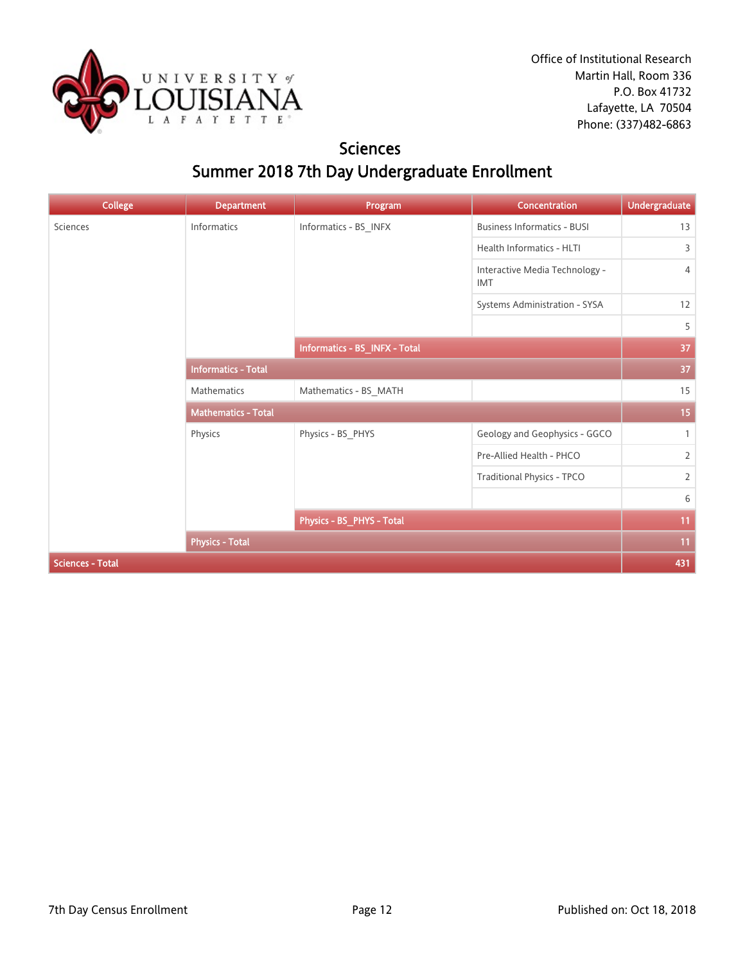

### **Sciences** Summer 2018 7th Day Undergraduate Enrollment

| <b>College</b>          | <b>Department</b>          | Program                       | <b>Concentration</b>                         | <b>Undergraduate</b> |
|-------------------------|----------------------------|-------------------------------|----------------------------------------------|----------------------|
| Sciences                | Informatics                | Informatics - BS_INFX         | <b>Business Informatics - BUSI</b>           | 13                   |
|                         |                            |                               | Health Informatics - HLTI                    | 3                    |
|                         |                            |                               | Interactive Media Technology -<br><b>IMT</b> | $\overline{4}$       |
|                         |                            |                               | Systems Administration - SYSA                | 12                   |
|                         |                            |                               |                                              | 5                    |
|                         |                            | Informatics - BS_INFX - Total |                                              | 37                   |
|                         | <b>Informatics - Total</b> |                               |                                              | 37                   |
|                         | Mathematics                | Mathematics - BS_MATH         |                                              | 15                   |
|                         | <b>Mathematics - Total</b> |                               |                                              | 15                   |
|                         | Physics                    | Physics - BS_PHYS             | Geology and Geophysics - GGCO                | $\mathbf{1}$         |
|                         |                            |                               | Pre-Allied Health - PHCO                     | $\overline{2}$       |
|                         |                            |                               | Traditional Physics - TPCO                   | $\overline{2}$       |
|                         |                            |                               |                                              | 6                    |
|                         |                            | Physics - BS_PHYS - Total     |                                              | 11                   |
|                         | <b>Physics - Total</b>     |                               |                                              | 11                   |
| <b>Sciences - Total</b> |                            |                               |                                              | 431                  |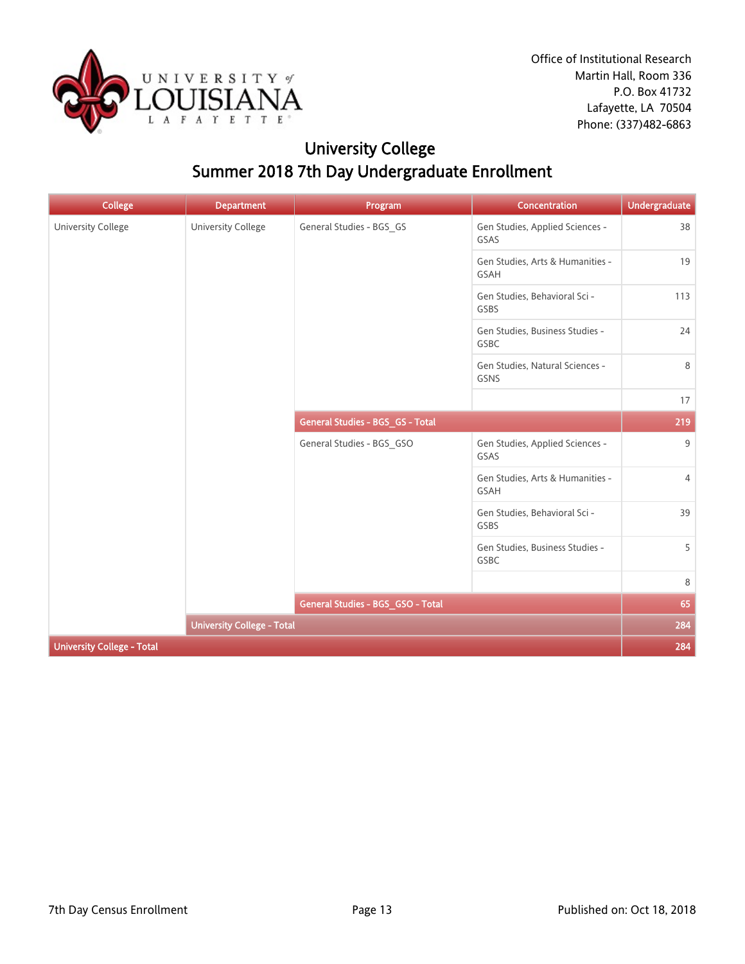

# University College Summer 2018 7th Day Undergraduate Enrollment

| <b>College</b>                    | <b>Department</b>                 | Program                           | <b>Concentration</b>                     | <b>Undergraduate</b> |
|-----------------------------------|-----------------------------------|-----------------------------------|------------------------------------------|----------------------|
| University College                | <b>University College</b>         | General Studies - BGS_GS          | Gen Studies, Applied Sciences -<br>GSAS  | 38                   |
|                                   |                                   |                                   | Gen Studies, Arts & Humanities -<br>GSAH | 19                   |
|                                   |                                   |                                   | Gen Studies, Behavioral Sci -<br>GSBS    | 113                  |
|                                   |                                   |                                   | Gen Studies, Business Studies -<br>GSBC  | 24                   |
|                                   |                                   |                                   | Gen Studies, Natural Sciences -<br>GSNS  | 8                    |
|                                   |                                   |                                   |                                          | 17                   |
|                                   |                                   | General Studies - BGS_GS - Total  |                                          | 219                  |
|                                   |                                   | General Studies - BGS_GSO         | Gen Studies, Applied Sciences -<br>GSAS  | 9                    |
|                                   |                                   |                                   | Gen Studies, Arts & Humanities -<br>GSAH | 4                    |
|                                   |                                   |                                   | Gen Studies, Behavioral Sci -<br>GSBS    | 39                   |
|                                   |                                   |                                   | Gen Studies, Business Studies -<br>GSBC  | 5                    |
|                                   |                                   |                                   |                                          | 8                    |
|                                   |                                   | General Studies - BGS_GSO - Total |                                          | 65                   |
|                                   | <b>University College - Total</b> |                                   |                                          | 284                  |
| <b>University College - Total</b> |                                   |                                   |                                          | 284                  |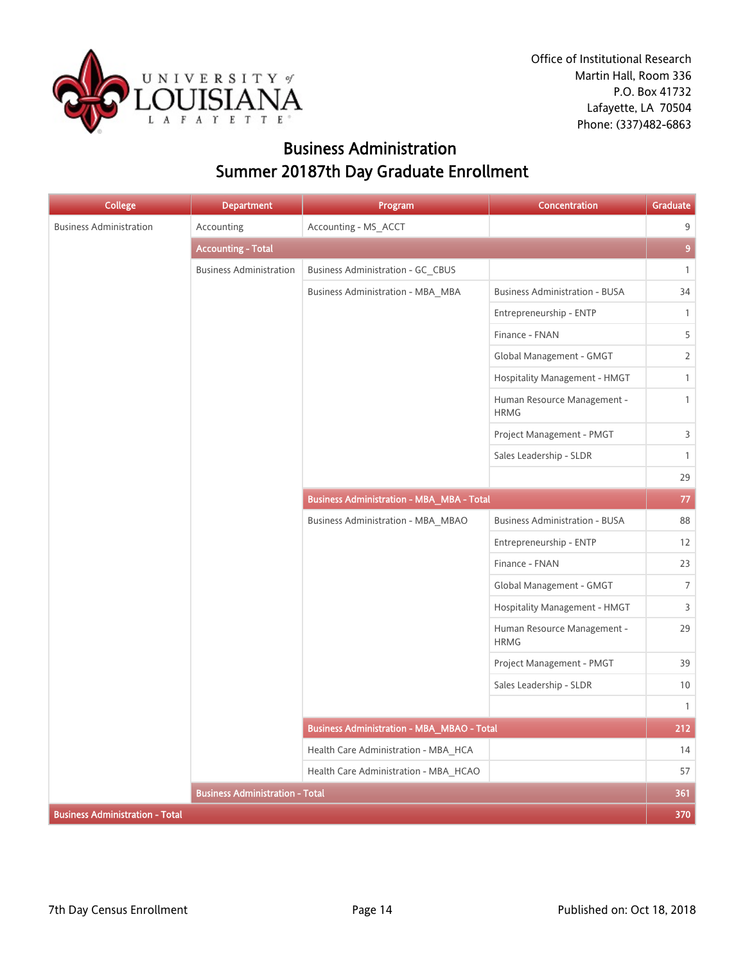

Office of Institutional Research Martin Hall, Room 336 P.O. Box 41732 Lafayette, LA 70504 Phone: (337)482-6863

### Business Administration Summer 20187th Day Graduate Enrollment

| <b>College</b>                         | <b>Department</b>                      | Program                                           | <b>Concentration</b>                       | Graduate       |
|----------------------------------------|----------------------------------------|---------------------------------------------------|--------------------------------------------|----------------|
| <b>Business Administration</b>         | Accounting                             | Accounting - MS_ACCT                              |                                            | 9              |
|                                        | <b>Accounting - Total</b>              |                                                   |                                            | $\overline{9}$ |
|                                        | <b>Business Administration</b>         | Business Administration - GC CBUS                 |                                            | $\mathbf{1}$   |
|                                        |                                        | <b>Business Administration - MBA_MBA</b>          | <b>Business Administration - BUSA</b>      | 34             |
|                                        |                                        |                                                   | Entrepreneurship - ENTP                    | $\mathbf{1}$   |
|                                        |                                        |                                                   | Finance - FNAN                             | 5              |
|                                        |                                        |                                                   | Global Management - GMGT                   | $\mathbf{2}$   |
|                                        |                                        |                                                   | Hospitality Management - HMGT              | $\mathbf{1}$   |
|                                        |                                        |                                                   | Human Resource Management -<br><b>HRMG</b> | $\mathbf{1}$   |
|                                        |                                        |                                                   | Project Management - PMGT                  | 3              |
|                                        |                                        |                                                   | Sales Leadership - SLDR                    | $\mathbf{1}$   |
|                                        |                                        |                                                   |                                            | 29             |
|                                        |                                        | <b>Business Administration - MBA_MBA - Total</b>  |                                            | $77\,$         |
|                                        |                                        | Business Administration - MBA MBAO                | <b>Business Administration - BUSA</b>      | 88             |
|                                        |                                        |                                                   | Entrepreneurship - ENTP                    | 12             |
|                                        |                                        |                                                   | Finance - FNAN                             | 23             |
|                                        |                                        |                                                   | Global Management - GMGT                   | $\overline{7}$ |
|                                        |                                        |                                                   | Hospitality Management - HMGT              | 3              |
|                                        |                                        |                                                   | Human Resource Management -<br><b>HRMG</b> | 29             |
|                                        |                                        |                                                   | Project Management - PMGT                  | 39             |
|                                        |                                        |                                                   | Sales Leadership - SLDR                    | $10$           |
|                                        |                                        |                                                   |                                            | $\mathbf{1}$   |
|                                        |                                        | <b>Business Administration - MBA_MBAO - Total</b> |                                            | 212            |
|                                        |                                        | Health Care Administration - MBA HCA              |                                            | 14             |
|                                        |                                        | Health Care Administration - MBA HCAO             |                                            | 57             |
|                                        | <b>Business Administration - Total</b> |                                                   |                                            | 361            |
| <b>Business Administration - Total</b> |                                        |                                                   |                                            | 370            |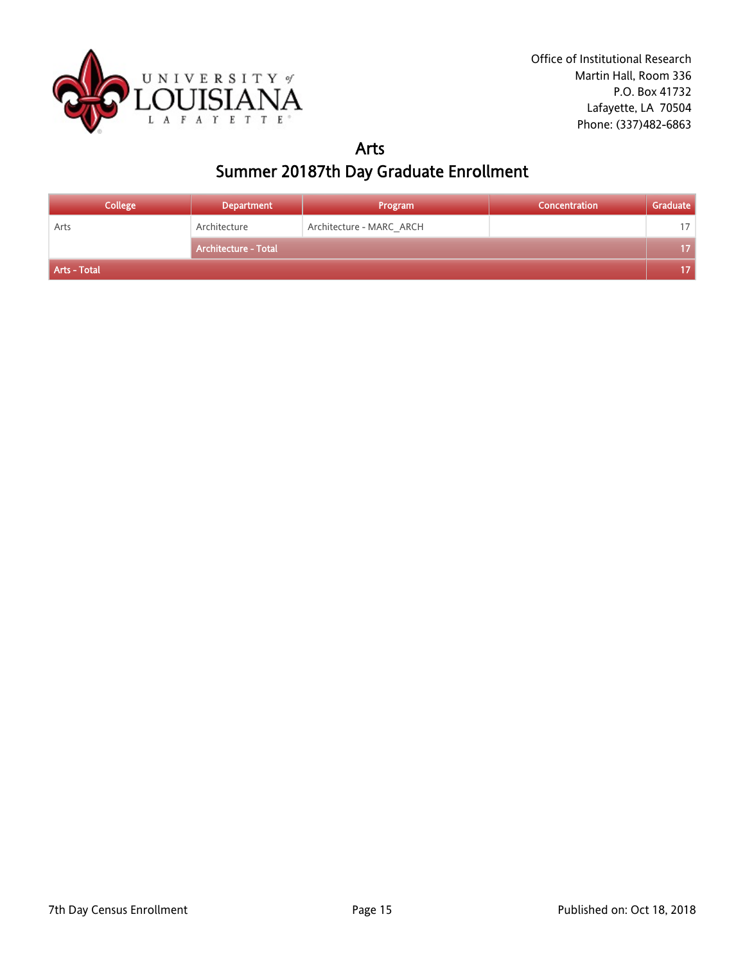

### Arts Summer 20187th Day Graduate Enrollment

| <b>College</b> | <b>Department</b>           | Program                  | Concentration | Graduate |
|----------------|-----------------------------|--------------------------|---------------|----------|
| Arts           | Architecture                | Architecture - MARC_ARCH |               | 17       |
|                | <b>Architecture - Total</b> |                          |               | 17       |
| Arts - Total   |                             |                          |               | 17.      |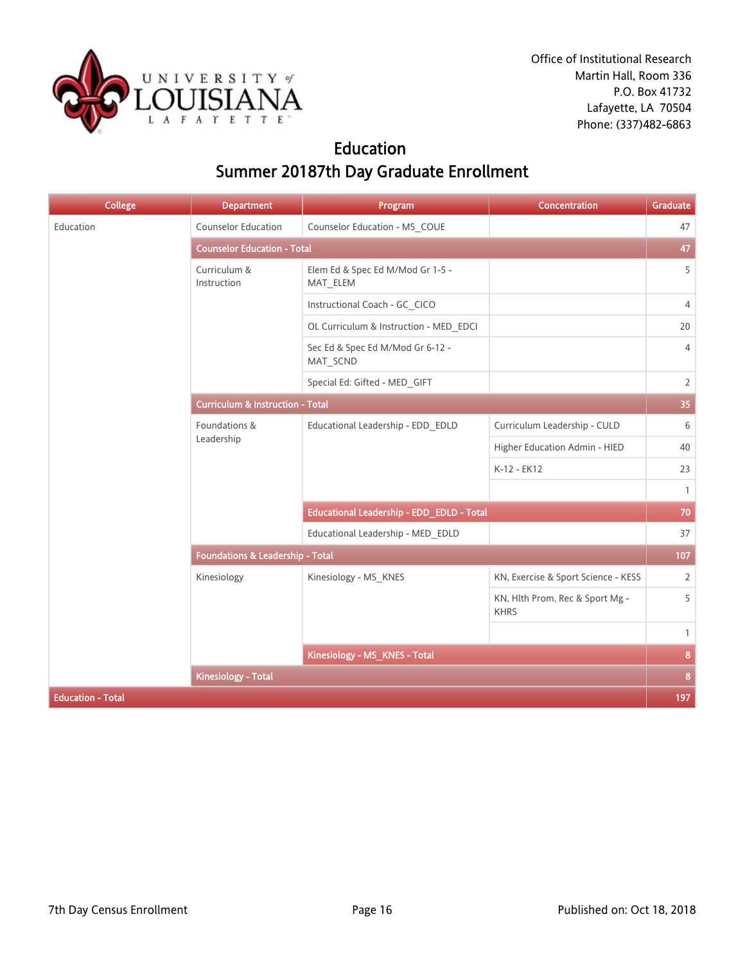

### Education Summer 20187th Day Graduate Enrollment

| <b>College</b>           | <b>Department</b>                           | Program                                      | <b>Concentration</b>                           | <b>Graduate</b> |
|--------------------------|---------------------------------------------|----------------------------------------------|------------------------------------------------|-----------------|
| Education                | <b>Counselor Education</b>                  | Counselor Education - MS_COUE                |                                                | 47              |
|                          | <b>Counselor Education - Total</b>          |                                              |                                                | 47              |
|                          | Curriculum &<br>Instruction                 | Elem Ed & Spec Ed M/Mod Gr 1-5 -<br>MAT_ELEM |                                                | 5               |
|                          |                                             | Instructional Coach - GC_CICO                |                                                | $\overline{4}$  |
|                          |                                             | OL Curriculum & Instruction - MED EDCI       |                                                | 20              |
|                          |                                             | Sec Ed & Spec Ed M/Mod Gr 6-12 -<br>MAT_SCND |                                                | $\overline{4}$  |
|                          |                                             | Special Ed: Gifted - MED_GIFT                |                                                | $\overline{2}$  |
|                          | <b>Curriculum &amp; Instruction - Total</b> |                                              |                                                | 35              |
|                          | Foundations &<br>Leadership                 | Educational Leadership - EDD_EDLD            | Curriculum Leadership - CULD                   | 6               |
|                          |                                             |                                              | Higher Education Admin - HIED                  | 40              |
|                          |                                             |                                              | K-12 - EK12                                    | 23              |
|                          |                                             |                                              |                                                | $\mathbf{1}$    |
|                          |                                             | Educational Leadership - EDD_EDLD - Total    |                                                | 70              |
|                          |                                             | Educational Leadership - MED EDLD            |                                                | 37              |
|                          | Foundations & Leadership - Total            |                                              |                                                | 107             |
|                          | Kinesiology                                 | Kinesiology - MS_KNES                        | KN, Exercise & Sport Science - KESS            | $\overline{2}$  |
|                          |                                             |                                              | KN, Hlth Prom, Rec & Sport Mg -<br><b>KHRS</b> | 5               |
|                          |                                             |                                              |                                                | $\mathbf{1}$    |
|                          | Kinesiology - MS_KNES - Total               |                                              |                                                | 8               |
|                          | <b>Kinesiology - Total</b>                  |                                              |                                                | 8               |
| <b>Education - Total</b> |                                             |                                              |                                                | 197             |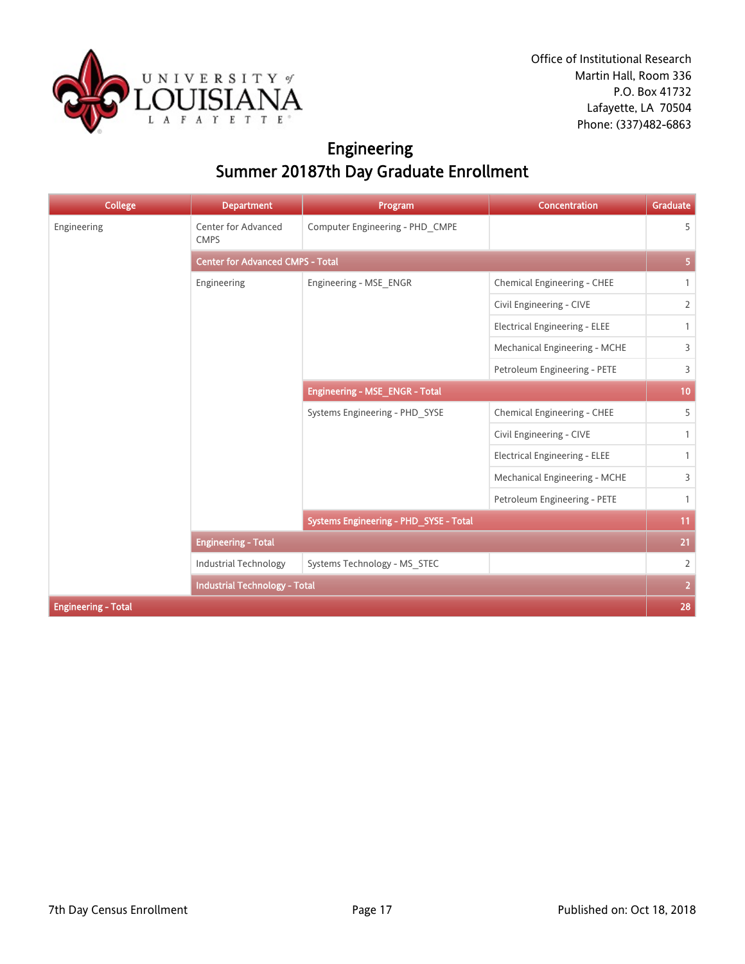

# Engineering Summer 20187th Day Graduate Enrollment

| <b>College</b>             | <b>Department</b>                       | Program                                | <b>Concentration</b>                 | <b>Graduate</b> |  |
|----------------------------|-----------------------------------------|----------------------------------------|--------------------------------------|-----------------|--|
| Engineering                | Center for Advanced<br><b>CMPS</b>      | Computer Engineering - PHD_CMPE        |                                      | 5               |  |
|                            | <b>Center for Advanced CMPS - Total</b> |                                        |                                      |                 |  |
|                            | Engineering                             | Engineering - MSE_ENGR                 | Chemical Engineering - CHEE          | $\mathbf{1}$    |  |
|                            |                                         |                                        | Civil Engineering - CIVE             | $\overline{2}$  |  |
|                            |                                         |                                        | <b>Electrical Engineering - ELEE</b> | $\mathbf{1}$    |  |
|                            |                                         |                                        | Mechanical Engineering - MCHE        | 3               |  |
|                            |                                         |                                        | Petroleum Engineering - PETE         | 3               |  |
|                            |                                         | Engineering - MSE_ENGR - Total         |                                      |                 |  |
|                            |                                         | Systems Engineering - PHD SYSE         | Chemical Engineering - CHEE          | 5               |  |
|                            |                                         |                                        | Civil Engineering - CIVE             | $\mathbf{1}$    |  |
|                            |                                         |                                        | <b>Electrical Engineering - ELEE</b> | $\mathbf{1}$    |  |
|                            |                                         |                                        | Mechanical Engineering - MCHE        | 3               |  |
|                            |                                         |                                        | Petroleum Engineering - PETE         | $\mathbf{1}$    |  |
|                            |                                         | Systems Engineering - PHD_SYSE - Total |                                      | 11              |  |
|                            | <b>Engineering - Total</b>              |                                        |                                      | 21              |  |
|                            | Industrial Technology                   | Systems Technology - MS_STEC           |                                      | $\overline{2}$  |  |
|                            | <b>Industrial Technology - Total</b>    |                                        |                                      | $\overline{2}$  |  |
| <b>Engineering - Total</b> |                                         |                                        |                                      | 28              |  |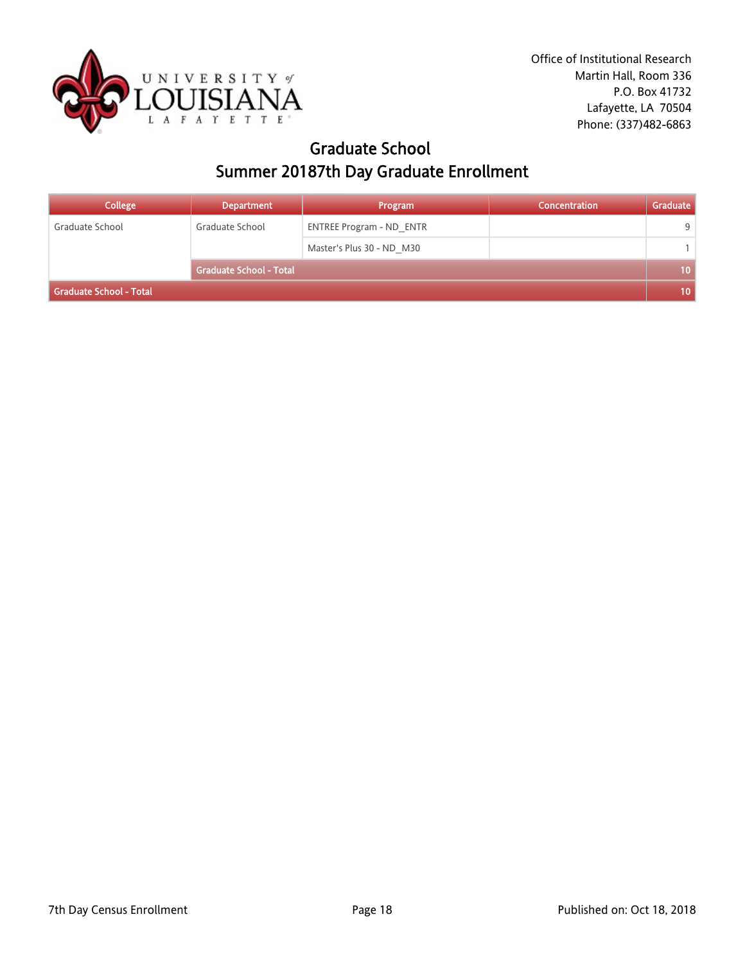

### Graduate School Summer 20187th Day Graduate Enrollment

| <b>College</b>          | <b>Department</b>       | Program                         | Concentration | Graduate         |
|-------------------------|-------------------------|---------------------------------|---------------|------------------|
| Graduate School         | Graduate School         | <b>ENTREE Program - ND ENTR</b> |               | 9                |
|                         |                         | Master's Plus 30 - ND M30       |               |                  |
|                         | Graduate School - Total |                                 |               | 10 <sup>°</sup>  |
| Graduate School - Total |                         |                                 |               | 10 <sup>10</sup> |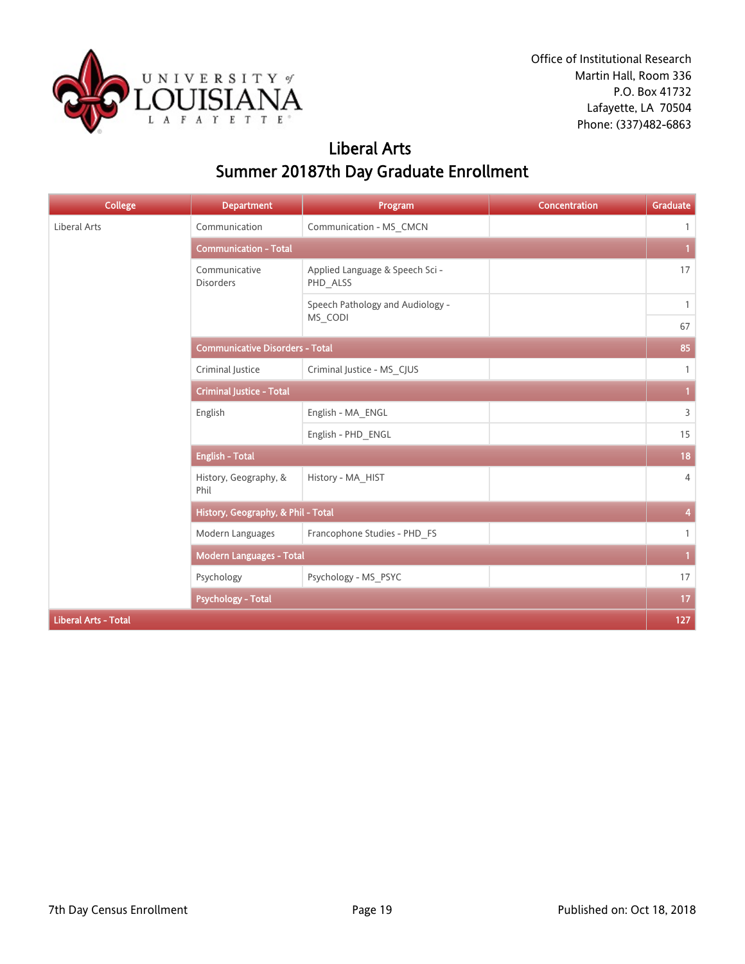

# Liberal Arts Summer 20187th Day Graduate Enrollment

| <b>College</b>              | <b>Department</b>                      | Program                                     | Concentration | Graduate       |
|-----------------------------|----------------------------------------|---------------------------------------------|---------------|----------------|
| Liberal Arts                | Communication                          | Communication - MS_CMCN                     |               | $\mathbf{1}$   |
|                             | <b>Communication - Total</b>           |                                             |               | 1.             |
|                             | Communicative<br><b>Disorders</b>      | Applied Language & Speech Sci -<br>PHD_ALSS |               | 17             |
|                             |                                        | Speech Pathology and Audiology -            |               | $\mathbf{1}$   |
|                             |                                        | MS_CODI                                     |               | 67             |
|                             | <b>Communicative Disorders - Total</b> |                                             |               | 85             |
|                             | Criminal Justice                       | Criminal Justice - MS_CJUS                  |               | $\mathbf{1}$   |
|                             | <b>Criminal Justice - Total</b>        |                                             |               | $\mathbf{1}$   |
|                             | English                                | English - MA_ENGL                           |               | 3              |
|                             |                                        | English - PHD_ENGL                          |               | 15             |
|                             | <b>English - Total</b>                 |                                             |               | 18             |
|                             | History, Geography, &<br>Phil          | History - MA HIST                           |               | $\overline{4}$ |
|                             | History, Geography, & Phil - Total     |                                             |               | 4              |
|                             | Modern Languages                       | Francophone Studies - PHD_FS                |               | $\mathbf{1}$   |
|                             | <b>Modern Languages - Total</b>        |                                             |               | $\mathbf{1}$   |
|                             | Psychology                             | Psychology - MS PSYC                        |               | 17             |
|                             | <b>Psychology - Total</b>              |                                             |               | 17             |
| <b>Liberal Arts - Total</b> |                                        |                                             |               | 127            |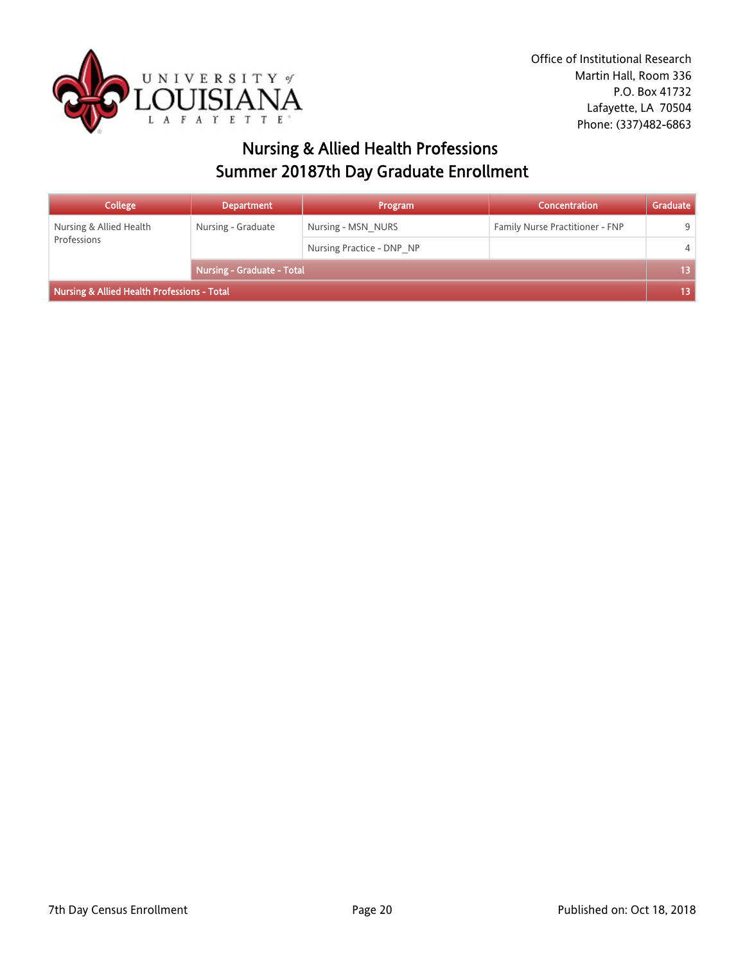

# Nursing & Allied Health Professions Summer 20187th Day Graduate Enrollment

| <b>College</b>                              | <b>Department</b>          | Program                   | Concentration                   | Graduate        |
|---------------------------------------------|----------------------------|---------------------------|---------------------------------|-----------------|
| Nursing & Allied Health<br>Professions      | Nursing - Graduate         | Nursing - MSN NURS        | Family Nurse Practitioner - FNP | q               |
|                                             |                            | Nursing Practice - DNP NP |                                 | $\overline{4}$  |
|                                             | Nursing - Graduate - Total |                           |                                 | 13 <sup>°</sup> |
| Nursing & Allied Health Professions - Total |                            |                           |                                 |                 |